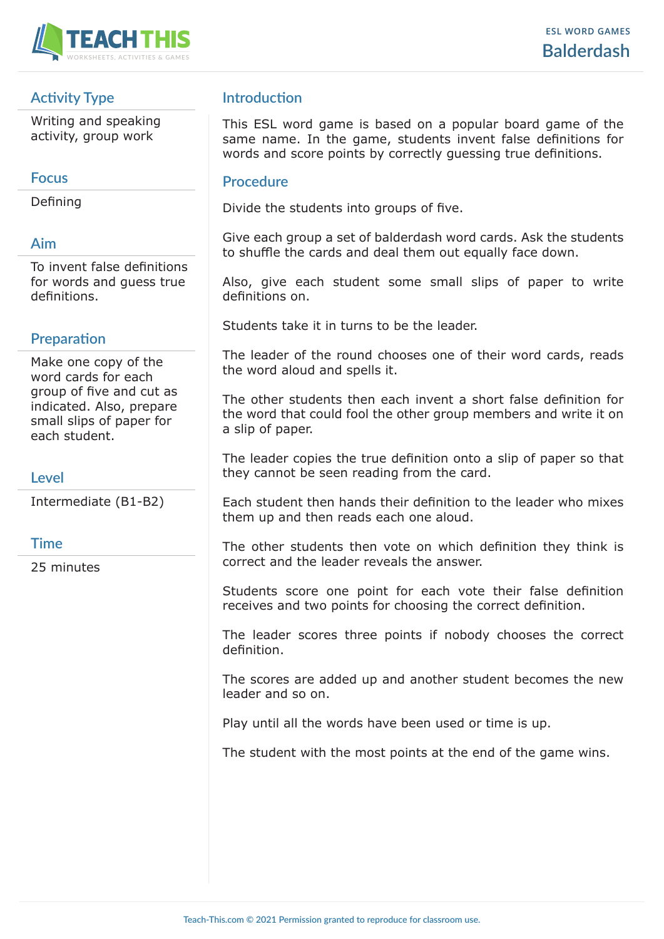

# **Activity Type**

Writing and speaking activity, group work

### **Focus**

Defining

# **Aim**

To invent false definitions for words and guess true definitions.

### **Preparation**

Make one copy of the word cards for each group of five and cut as indicated. Also, prepare small slips of paper for each student.

### **Level**

Intermediate (B1-B2)

#### **Time**

25 minutes

## **Introduction**

This ESL word game is based on a popular board game of the same name. In the game, students invent false definitions for words and score points by correctly guessing true definitions.

#### **Procedure**

Divide the students into groups of five.

Give each group a set of balderdash word cards. Ask the students to shuffle the cards and deal them out equally face down.

Also, give each student some small slips of paper to write definitions on.

Students take it in turns to be the leader.

The leader of the round chooses one of their word cards, reads the word aloud and spells it.

The other students then each invent a short false definition for the word that could fool the other group members and write it on a slip of paper.

The leader copies the true definition onto a slip of paper so that they cannot be seen reading from the card.

Each student then hands their definition to the leader who mixes them up and then reads each one aloud.

The other students then vote on which definition they think is correct and the leader reveals the answer.

Students score one point for each vote their false definition receives and two points for choosing the correct definition.

The leader scores three points if nobody chooses the correct definition.

The scores are added up and another student becomes the new leader and so on.

Play until all the words have been used or time is up.

The student with the most points at the end of the game wins.